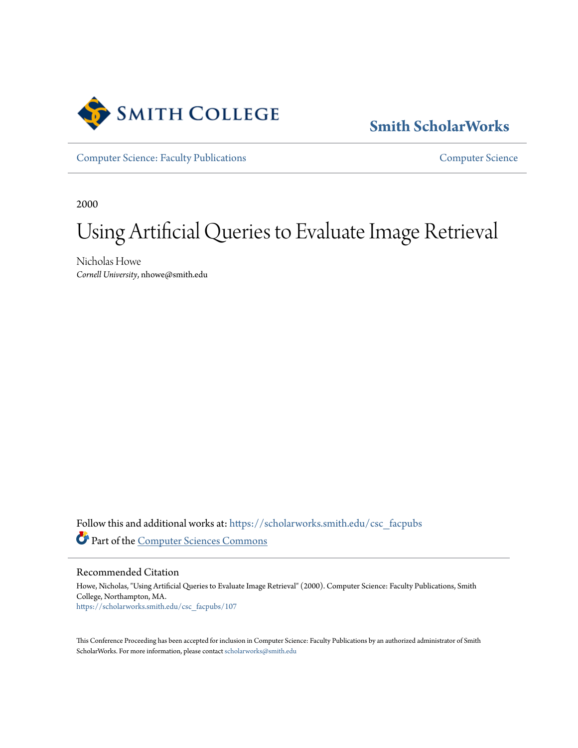

## **[Smith ScholarWorks](https://scholarworks.smith.edu/?utm_source=scholarworks.smith.edu%2Fcsc_facpubs%2F107&utm_medium=PDF&utm_campaign=PDFCoverPages)**

[Computer Science: Faculty Publications](https://scholarworks.smith.edu/csc_facpubs?utm_source=scholarworks.smith.edu%2Fcsc_facpubs%2F107&utm_medium=PDF&utm_campaign=PDFCoverPages) [Computer Science](https://scholarworks.smith.edu/csc?utm_source=scholarworks.smith.edu%2Fcsc_facpubs%2F107&utm_medium=PDF&utm_campaign=PDFCoverPages)

2000

# Using Artificial Queries to Evaluate Image Retrieval

Nicholas Howe *Cornell University*, nhowe@smith.edu

Follow this and additional works at: [https://scholarworks.smith.edu/csc\\_facpubs](https://scholarworks.smith.edu/csc_facpubs?utm_source=scholarworks.smith.edu%2Fcsc_facpubs%2F107&utm_medium=PDF&utm_campaign=PDFCoverPages) Part of the [Computer Sciences Commons](http://network.bepress.com/hgg/discipline/142?utm_source=scholarworks.smith.edu%2Fcsc_facpubs%2F107&utm_medium=PDF&utm_campaign=PDFCoverPages)

Recommended Citation

Howe, Nicholas, "Using Artificial Queries to Evaluate Image Retrieval" (2000). Computer Science: Faculty Publications, Smith College, Northampton, MA. [https://scholarworks.smith.edu/csc\\_facpubs/107](https://scholarworks.smith.edu/csc_facpubs/107?utm_source=scholarworks.smith.edu%2Fcsc_facpubs%2F107&utm_medium=PDF&utm_campaign=PDFCoverPages)

This Conference Proceeding has been accepted for inclusion in Computer Science: Faculty Publications by an authorized administrator of Smith ScholarWorks. For more information, please contact [scholarworks@smith.edu](mailto:scholarworks@smith.edu)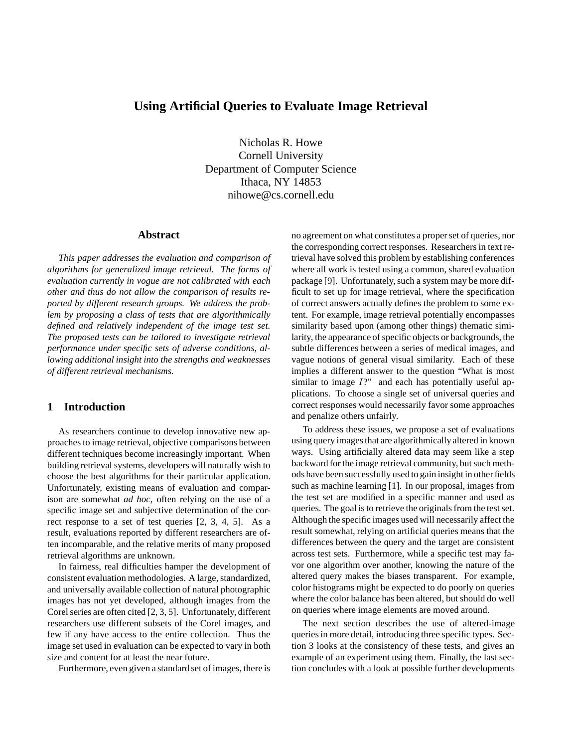### **Using Artificial Queries to Evaluate Image Retrieval**

Nicholas R. Howe Cornell University Department of Computer Science Ithaca, NY 14853 nihowe@cs.cornell.edu

#### **Abstract**

*This paper addresses the evaluation and comparison of algorithms for generalized image retrieval. The forms of evaluation currently in vogue are not calibrated with each other and thus do not allow the comparison of results reported by different research groups. We address the problem by proposing a class of tests that are algorithmically defined and relatively independent of the image test set. The proposed tests can be tailored to investigate retrieval performance under specific sets of adverse conditions, allowing additional insight into the strengths and weaknesses of different retrieval mechanisms.*

#### **1 Introduction**

As researchers continue to develop innovative new approaches to image retrieval, objective comparisons between different techniques become increasingly important. When building retrieval systems, developers will naturally wish to choose the best algorithms for their particular application. Unfortunately, existing means of evaluation and comparison are somewhat *ad hoc*, often relying on the use of a specific image set and subjective determination of the correct response to a set of test queries [2, 3, 4, 5]. As a result, evaluations reported by different researchers are often incomparable, and the relative merits of many proposed retrieval algorithms are unknown.

In fairness, real difficulties hamper the development of consistent evaluation methodologies. A large, standardized, and universally available collection of natural photographic images has not yet developed, although images from the Corel series are often cited [2, 3, 5]. Unfortunately, different researchers use different subsets of the Corel images, and few if any have access to the entire collection. Thus the image set used in evaluation can be expected to vary in both size and content for at least the near future.

Furthermore, even given a standard set of images, there is

no agreement on what constitutes a proper set of queries, nor the corresponding correct responses. Researchers in text retrieval have solved this problem by establishing conferences where all work is tested using a common, shared evaluation package [9]. Unfortunately, such a system may be more difficult to set up for image retrieval, where the specification of correct answers actually defines the problem to some extent. For example, image retrieval potentially encompasses similarity based upon (among other things) thematic similarity, the appearance of specific objects or backgrounds, the subtle differences between a series of medical images, and vague notions of general visual similarity. Each of these implies a different answer to the question "What is most similar to image  $I$ ?" and each has potentially useful applications. To choose a single set of universal queries and correct responses would necessarily favor some approaches and penalize others unfairly.

To address these issues, we propose a set of evaluations using query images that are algorithmically altered in known ways. Using artificially altered data may seem like a step backward for the image retrieval community, but such methods have been successfully used to gain insight in other fields such as machine learning [1]. In our proposal, images from the test set are modified in a specific manner and used as queries. The goal is to retrieve the originals from the test set. Although the specific images used will necessarily affect the result somewhat, relying on artificial queries means that the differences between the query and the target are consistent across test sets. Furthermore, while a specific test may favor one algorithm over another, knowing the nature of the altered query makes the biases transparent. For example, color histograms might be expected to do poorly on queries where the color balance has been altered, but should do well on queries where image elements are moved around.

The next section describes the use of altered-image queries in more detail, introducing three specific types. Section 3 looks at the consistency of these tests, and gives an example of an experiment using them. Finally, the last section concludes with a look at possible further developments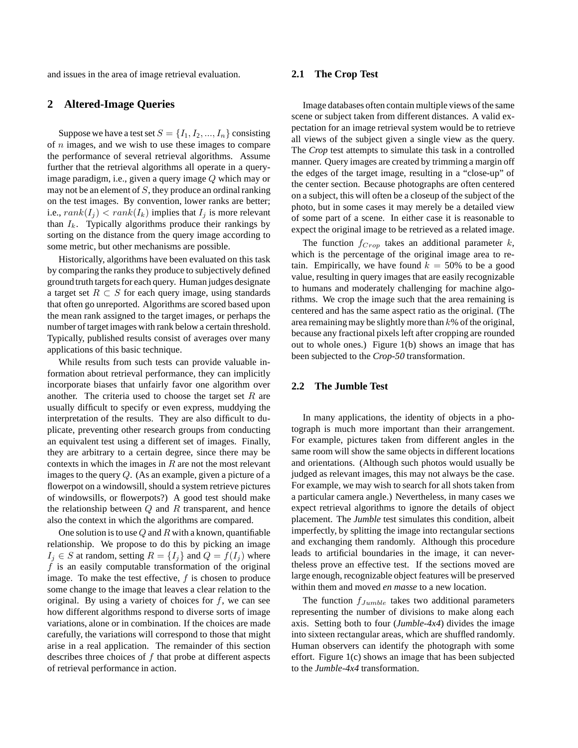and issues in the area of image retrieval evaluation.

#### **2 Altered-Image Queries**

Suppose we have a test set  $S = \{I_1, I_2, ..., I_n\}$  consisting of  $n$  images, and we wish to use these images to compare the performance of several retrieval algorithms. Assume further that the retrieval algorithms all operate in a queryimage paradigm, i.e., given a query image Q which may or may not be an element of  $S$ , they produce an ordinal ranking on the test images. By convention, lower ranks are better; i.e.,  $rank(I_i) < rank(I_k)$  implies that  $I_i$  is more relevant than  $I_k$ . Typically algorithms produce their rankings by sorting on the distance from the query image according to some metric, but other mechanisms are possible.

Historically, algorithms have been evaluated on this task by comparing the ranks they produce to subjectively defined ground truth targets for each query. Human judges designate a target set  $R \subset S$  for each query image, using standards that often go unreported. Algorithms are scored based upon the mean rank assigned to the target images, or perhaps the number of target images with rank below a certain threshold. Typically, published results consist of averages over many applications of this basic technique.

While results from such tests can provide valuable information about retrieval performance, they can implicitly incorporate biases that unfairly favor one algorithm over another. The criteria used to choose the target set  $R$  are usually difficult to specify or even express, muddying the interpretation of the results. They are also difficult to duplicate, preventing other research groups from conducting an equivalent test using a different set of images. Finally, they are arbitrary to a certain degree, since there may be contexts in which the images in  $R$  are not the most relevant images to the query Q. (As an example, given a picture of a flowerpot on a windowsill, should a system retrieve pictures of windowsills, or flowerpots?) A good test should make the relationship between  $Q$  and  $R$  transparent, and hence also the context in which the algorithms are compared.

One solution is to use  $Q$  and R with a known, quantifiable relationship. We propose to do this by picking an image  $I_j \in S$  at random, setting  $R = \{I_j\}$  and  $Q = f(I_j)$  where  $f$  is an easily computable transformation of the original image. To make the test effective,  $f$  is chosen to produce some change to the image that leaves a clear relation to the original. By using a variety of choices for  $f$ , we can see how different algorithms respond to diverse sorts of image variations, alone or in combination. If the choices are made carefully, the variations will correspond to those that might arise in a real application. The remainder of this section describes three choices of f that probe at different aspects of retrieval performance in action.

#### **2.1 The Crop Test**

Image databases often contain multiple views of the same scene or subject taken from different distances. A valid expectation for an image retrieval system would be to retrieve all views of the subject given a single view as the query. The *Crop* test attempts to simulate this task in a controlled manner. Query images are created by trimming a margin off the edges of the target image, resulting in a "close-up" of the center section. Because photographs are often centered on a subject, this will often be a closeup of the subject of the photo, but in some cases it may merely be a detailed view of some part of a scene. In either case it is reasonable to expect the original image to be retrieved as a related image.

The function  $f_{Crop}$  takes an additional parameter k, which is the percentage of the original image area to retain. Empirically, we have found  $k = 50\%$  to be a good value, resulting in query images that are easily recognizable to humans and moderately challenging for machine algorithms. We crop the image such that the area remaining is centered and has the same aspect ratio as the original. (The area remaining may be slightly more than  $k$ % of the original, because any fractional pixels left after cropping are rounded out to whole ones.) Figure 1(b) shows an image that has been subjected to the *Crop-50* transformation.

#### **2.2 The Jumble Test**

In many applications, the identity of objects in a photograph is much more important than their arrangement. For example, pictures taken from different angles in the same room will show the same objects in different locations and orientations. (Although such photos would usually be judged as relevant images, this may not always be the case. For example, we may wish to search for all shots taken from a particular camera angle.) Nevertheless, in many cases we expect retrieval algorithms to ignore the details of object placement. The *Jumble* test simulates this condition, albeit imperfectly, by splitting the image into rectangular sections and exchanging them randomly. Although this procedure leads to artificial boundaries in the image, it can nevertheless prove an effective test. If the sections moved are large enough, recognizable object features will be preserved within them and moved *en masse* to a new location.

The function  $f_{Jumble}$  takes two additional parameters representing the number of divisions to make along each axis. Setting both to four (*Jumble-4x4*) divides the image into sixteen rectangular areas, which are shuffled randomly. Human observers can identify the photograph with some effort. Figure 1(c) shows an image that has been subjected to the *Jumble-4x4* transformation.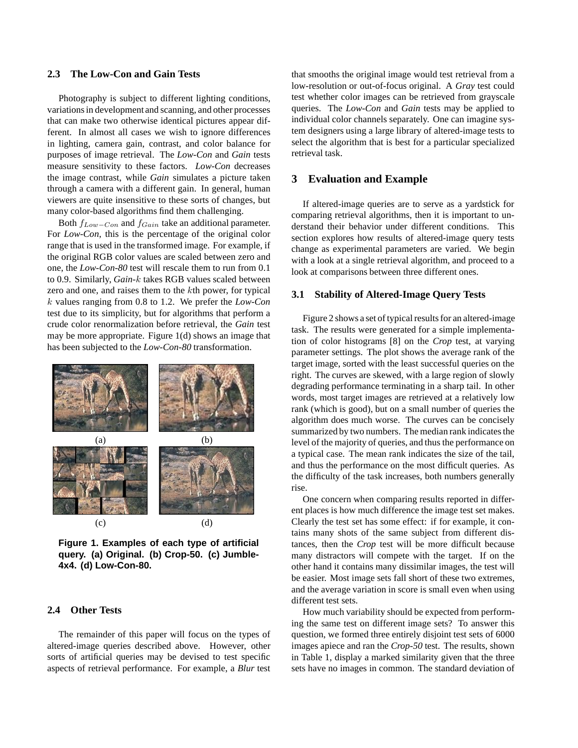#### **2.3 The Low-Con and Gain Tests**

Photography is subject to different lighting conditions, variations in development and scanning, and other processes that can make two otherwise identical pictures appear different. In almost all cases we wish to ignore differences in lighting, camera gain, contrast, and color balance for purposes of image retrieval. The *Low-Con* and *Gain* tests measure sensitivity to these factors. *Low-Con* decreases the image contrast, while *Gain* simulates a picture taken through a camera with a different gain. In general, human viewers are quite insensitive to these sorts of changes, but many color-based algorithms find them challenging.

Both  $f_{Low-Con}$  and  $f_{Gain}$  take an additional parameter. For *Low-Con*, this is the percentage of the original color range that is used in the transformed image. For example, if the original RGB color values are scaled between zero and one, the *Low-Con-80* test will rescale them to run from 0.1 to 0.9. Similarly, *Gain-*k takes RGB values scaled between zero and one, and raises them to the kth power, for typical k values ranging from 0.8 to 1.2. We prefer the *Low-Con* test due to its simplicity, but for algorithms that perform a crude color renormalization before retrieval, the *Gain* test may be more appropriate. Figure 1(d) shows an image that has been subjected to the *Low-Con-80* transformation.



**Figure 1. Examples of each type of artificial query. (a) Original. (b) Crop-50. (c) Jumble-4x4. (d) Low-Con-80.**

#### **2.4 Other Tests**

The remainder of this paper will focus on the types of altered-image queries described above. However, other sorts of artificial queries may be devised to test specific aspects of retrieval performance. For example, a *Blur* test

that smooths the original image would test retrieval from a low-resolution or out-of-focus original. A *Gray* test could test whether color images can be retrieved from grayscale queries. The *Low-Con* and *Gain* tests may be applied to individual color channels separately. One can imagine system designers using a large library of altered-image tests to select the algorithm that is best for a particular specialized retrieval task.

#### **3 Evaluation and Example**

If altered-image queries are to serve as a yardstick for comparing retrieval algorithms, then it is important to understand their behavior under different conditions. This section explores how results of altered-image query tests change as experimental parameters are varied. We begin with a look at a single retrieval algorithm, and proceed to a look at comparisons between three different ones.

#### **3.1 Stability of Altered-Image Query Tests**

Figure 2 shows a set of typical results for an altered-image task. The results were generated for a simple implementation of color histograms [8] on the *Crop* test, at varying parameter settings. The plot shows the average rank of the target image, sorted with the least successful queries on the right. The curves are skewed, with a large region of slowly degrading performance terminating in a sharp tail. In other words, most target images are retrieved at a relatively low rank (which is good), but on a small number of queries the algorithm does much worse. The curves can be concisely summarized by two numbers. The median rank indicates the level of the majority of queries, and thus the performance on a typical case. The mean rank indicates the size of the tail, and thus the performance on the most difficult queries. As the difficulty of the task increases, both numbers generally rise.

One concern when comparing results reported in different places is how much difference the image test set makes. Clearly the test set has some effect: if for example, it contains many shots of the same subject from different distances, then the *Crop* test will be more difficult because many distractors will compete with the target. If on the other hand it contains many dissimilar images, the test will be easier. Most image sets fall short of these two extremes, and the average variation in score is small even when using different test sets.

How much variability should be expected from performing the same test on different image sets? To answer this question, we formed three entirely disjoint test sets of 6000 images apiece and ran the *Crop-50* test. The results, shown in Table 1, display a marked similarity given that the three sets have no images in common. The standard deviation of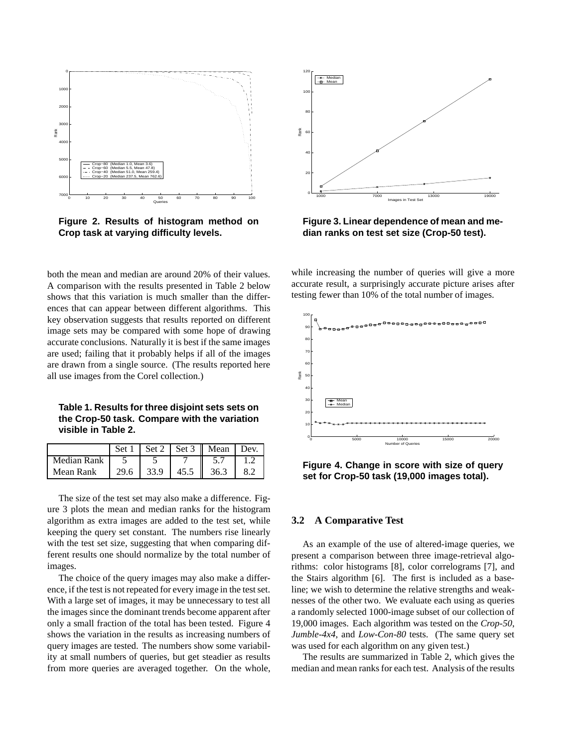

**Figure 2. Results of histogram method on Crop task at varying difficulty levels.**

both the mean and median are around 20% of their values. A comparison with the results presented in Table 2 below shows that this variation is much smaller than the differences that can appear between different algorithms. This key observation suggests that results reported on different image sets may be compared with some hope of drawing accurate conclusions. Naturally it is best if the same images are used; failing that it probably helps if all of the images are drawn from a single source. (The results reported here all use images from the Corel collection.)

**Table 1. Results for three disjoint sets sets on the Crop-50 task. Compare with the variation visible in Table 2.**

|             |      |      |       | Set $1 \mid \text{Set } 2 \mid \text{Set } 3 \mid \text{Mean} \mid \text{Dev.}$ |  |
|-------------|------|------|-------|---------------------------------------------------------------------------------|--|
| Median Rank |      |      |       |                                                                                 |  |
| Mean Rank   | 29.6 | 33.9 | 145.5 | 36.3                                                                            |  |

The size of the test set may also make a difference. Figure 3 plots the mean and median ranks for the histogram algorithm as extra images are added to the test set, while keeping the query set constant. The numbers rise linearly with the test set size, suggesting that when comparing different results one should normalize by the total number of images.

The choice of the query images may also make a difference, if the test is not repeated for every image in the test set. With a large set of images, it may be unnecessary to test all the images since the dominant trends become apparent after only a small fraction of the total has been tested. Figure 4 shows the variation in the results as increasing numbers of query images are tested. The numbers show some variability at small numbers of queries, but get steadier as results from more queries are averaged together. On the whole,



**Figure 3. Linear dependence of mean and median ranks on test set size (Crop-50 test).**

while increasing the number of queries will give a more accurate result, a surprisingly accurate picture arises after testing fewer than 10% of the total number of images.



**Figure 4. Change in score with size of query set for Crop-50 task (19,000 images total).**

#### **3.2 A Comparative Test**

As an example of the use of altered-image queries, we present a comparison between three image-retrieval algorithms: color histograms [8], color correlograms [7], and the Stairs algorithm [6]. The first is included as a baseline; we wish to determine the relative strengths and weaknesses of the other two. We evaluate each using as queries a randomly selected 1000-image subset of our collection of 19,000 images. Each algorithm was tested on the *Crop-50*, *Jumble-4x4*, and *Low-Con-80* tests. (The same query set was used for each algorithm on any given test.)

The results are summarized in Table 2, which gives the median and mean ranks for each test. Analysis of the results